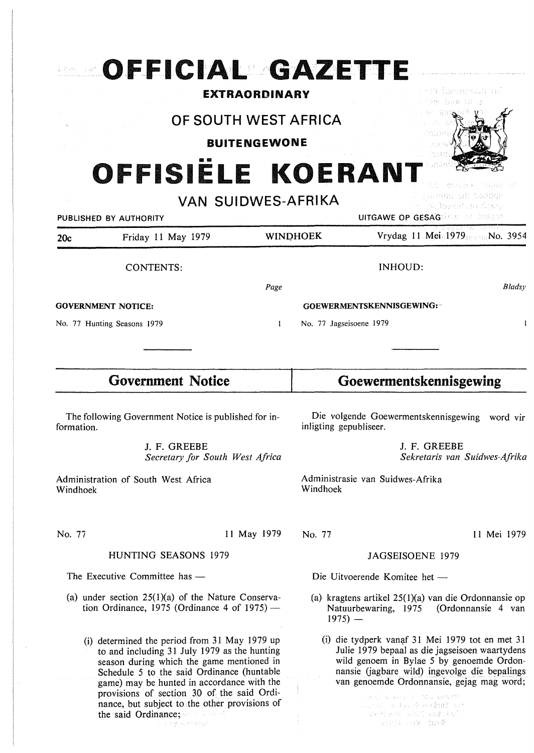| OFFICIAL GAZETTE                                                                                                                                                                                                                                                                                                                                             |                                             |                                                                                                                                                                                                                                                                                                                            |                                                                                       |
|--------------------------------------------------------------------------------------------------------------------------------------------------------------------------------------------------------------------------------------------------------------------------------------------------------------------------------------------------------------|---------------------------------------------|----------------------------------------------------------------------------------------------------------------------------------------------------------------------------------------------------------------------------------------------------------------------------------------------------------------------------|---------------------------------------------------------------------------------------|
|                                                                                                                                                                                                                                                                                                                                                              | <b>EXTRAORDINARY</b>                        |                                                                                                                                                                                                                                                                                                                            | tri hemmobi ut<br>USS of                                                              |
|                                                                                                                                                                                                                                                                                                                                                              | OF SOUTH WEST AFRICA<br><b>BUITENGEWONE</b> |                                                                                                                                                                                                                                                                                                                            |                                                                                       |
| PUBLISHED BY AUTHORITY                                                                                                                                                                                                                                                                                                                                       | OFFISIELE KOERANT<br>VAN SUIDWES-AFRIKA     |                                                                                                                                                                                                                                                                                                                            | u payeger bér bodage<br>. A or beamfurt data<br><b>UITGAWE OP GESAGDION OF DORSES</b> |
| Friday 11 May 1979<br>20c                                                                                                                                                                                                                                                                                                                                    |                                             | <b>WINDHOEK</b>                                                                                                                                                                                                                                                                                                            | Vrydag 11 Mei 1979 No. 3954                                                           |
| <b>CONTENTS:</b>                                                                                                                                                                                                                                                                                                                                             |                                             |                                                                                                                                                                                                                                                                                                                            | <b>INHOUD:</b>                                                                        |
|                                                                                                                                                                                                                                                                                                                                                              | Page                                        |                                                                                                                                                                                                                                                                                                                            | <b>Bladsy</b>                                                                         |
| <b>GOVERNMENT NOTICE:</b>                                                                                                                                                                                                                                                                                                                                    |                                             | GOEWERMENTSKENNISGEWING:                                                                                                                                                                                                                                                                                                   |                                                                                       |
| No. 77 Hunting Seasons 1979                                                                                                                                                                                                                                                                                                                                  | 1                                           |                                                                                                                                                                                                                                                                                                                            | No. 77 Jagseisoene 1979<br>I                                                          |
| <b>Government Notice</b>                                                                                                                                                                                                                                                                                                                                     |                                             | Goewermentskennisgewing                                                                                                                                                                                                                                                                                                    |                                                                                       |
| The following Government Notice is published for in-<br>formation.                                                                                                                                                                                                                                                                                           |                                             | Die volgende Goewermentskennisgewing word vir<br>inligting gepubliseer.                                                                                                                                                                                                                                                    |                                                                                       |
| J. F. GREEBE<br>Secretary for South West Africa                                                                                                                                                                                                                                                                                                              |                                             | J. F. GREEBE<br>Sekretaris van Suidwes-Afrika                                                                                                                                                                                                                                                                              |                                                                                       |
| Administration of South West Africa<br>Windhoek                                                                                                                                                                                                                                                                                                              |                                             | Administrasie van Suidwes-Afrika<br>Windhoek                                                                                                                                                                                                                                                                               |                                                                                       |
| No. 77                                                                                                                                                                                                                                                                                                                                                       | 11 May 1979                                 | No. 77                                                                                                                                                                                                                                                                                                                     | 11 Mei 1979                                                                           |
| <b>HUNTING SEASONS 1979</b>                                                                                                                                                                                                                                                                                                                                  |                                             | JAGSEISOENE 1979                                                                                                                                                                                                                                                                                                           |                                                                                       |
| The Executive Committee has -                                                                                                                                                                                                                                                                                                                                |                                             | Die Uitvoerende Komitee het -                                                                                                                                                                                                                                                                                              |                                                                                       |
| (a) under section $25(1)(a)$ of the Nature Conserva-<br>tion Ordinance, 1975 (Ordinance 4 of $1975$ ) —                                                                                                                                                                                                                                                      |                                             | (a) kragtens artikel $25(1)(a)$ van die Ordonnansie op<br>Natuurbewaring, 1975 (Ordonnansie 4 van<br>$1975$ –                                                                                                                                                                                                              |                                                                                       |
| (i) determined the period from 31 May 1979 up<br>to and including 31 July 1979 as the hunting<br>season during which the game mentioned in<br>Schedule 5 to the said Ordinance (huntable<br>game) may be hunted in accordance with the<br>provisions of section 30 of the said Ordi-<br>nance, but subject to the other provisions of<br>the said Ordinance; |                                             | (i) die tydperk vanaf 31 Mei 1979 tot en met 31<br>Julie 1979 bepaal as die jagseisoen waartydens<br>wild genoem in Bylae 5 by genoemde Ordon-<br>nansie (jagbare wild) ingevolge die bepalings<br>van genoemde Ordonnansie, gejag mag word;<br>STRING AND CONTINUES ARRESTS<br>and and a discipling?<br>安全情异性人 法股票 动腹 法经产 |                                                                                       |

 $\sim$   $\omega$ 

 $\hat{\mathcal{A}}$ 

i sertiarik jakil 208 2017.<br>Segan sekalah